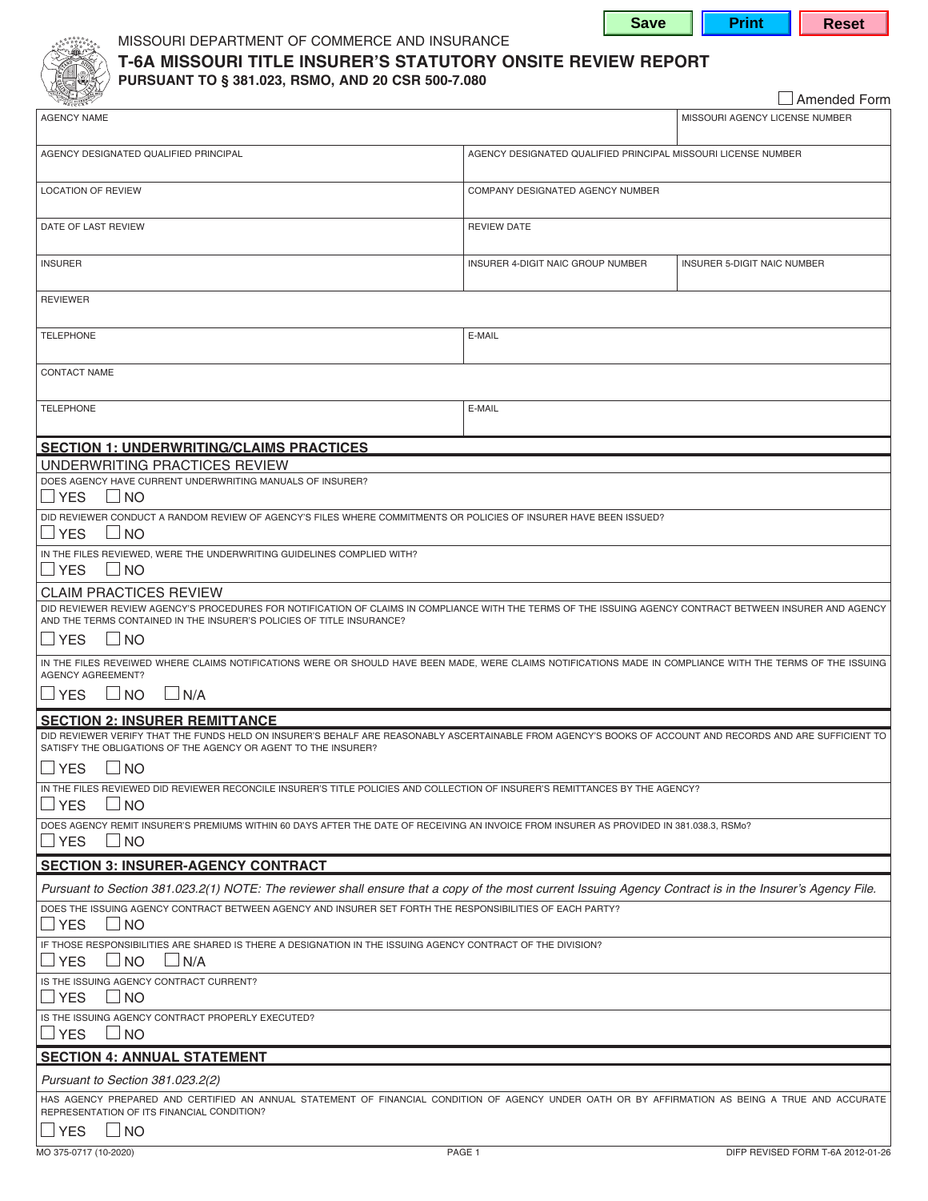**Save | Print | Reset** 



## MISSOURI DEPARTMENT OF COMMERCE AND INSURANCE **T-6A MISSOURI TITLE INSURER'S STATUTORY ONSITE REVIEW REPORT**

**PURSUANT TO § 381.023, RSMO, AND 20 CSR 500-7.080**

|                                                                                                                                                                                                                                                                                                  |                                                               | Amended Form                       |  |  |
|--------------------------------------------------------------------------------------------------------------------------------------------------------------------------------------------------------------------------------------------------------------------------------------------------|---------------------------------------------------------------|------------------------------------|--|--|
| <b>AGENCY NAME</b>                                                                                                                                                                                                                                                                               |                                                               | MISSOURI AGENCY LICENSE NUMBER     |  |  |
| AGENCY DESIGNATED QUALIFIED PRINCIPAL                                                                                                                                                                                                                                                            | AGENCY DESIGNATED QUALIFIED PRINCIPAL MISSOURI LICENSE NUMBER |                                    |  |  |
| <b>LOCATION OF REVIEW</b>                                                                                                                                                                                                                                                                        | COMPANY DESIGNATED AGENCY NUMBER                              |                                    |  |  |
| DATE OF LAST REVIEW                                                                                                                                                                                                                                                                              | <b>REVIEW DATE</b>                                            |                                    |  |  |
| <b>INSURER</b>                                                                                                                                                                                                                                                                                   | INSURER 4-DIGIT NAIC GROUP NUMBER                             | <b>INSURER 5-DIGIT NAIC NUMBER</b> |  |  |
| <b>REVIEWER</b>                                                                                                                                                                                                                                                                                  |                                                               |                                    |  |  |
| <b>TELEPHONE</b>                                                                                                                                                                                                                                                                                 | E-MAIL                                                        |                                    |  |  |
| <b>CONTACT NAME</b>                                                                                                                                                                                                                                                                              |                                                               |                                    |  |  |
| <b>TELEPHONE</b>                                                                                                                                                                                                                                                                                 | E-MAIL                                                        |                                    |  |  |
| <b>SECTION 1: UNDERWRITING/CLAIMS PRACTICES</b>                                                                                                                                                                                                                                                  |                                                               |                                    |  |  |
| UNDERWRITING PRACTICES REVIEW                                                                                                                                                                                                                                                                    |                                                               |                                    |  |  |
| DOES AGENCY HAVE CURRENT UNDERWRITING MANUALS OF INSURER?<br><b>IYES</b><br>$\sqcup$ NO                                                                                                                                                                                                          |                                                               |                                    |  |  |
| DID REVIEWER CONDUCT A RANDOM REVIEW OF AGENCY'S FILES WHERE COMMITMENTS OR POLICIES OF INSURER HAVE BEEN ISSUED?<br>$\Box$ NO<br><b>IYES</b>                                                                                                                                                    |                                                               |                                    |  |  |
| IN THE FILES REVIEWED, WERE THE UNDERWRITING GUIDELINES COMPLIED WITH?<br>$\Box$ NO<br>$\sqcup$ YES                                                                                                                                                                                              |                                                               |                                    |  |  |
| <b>CLAIM PRACTICES REVIEW</b><br>DID REVIEWER REVIEW AGENCY'S PROCEDURES FOR NOTIFICATION OF CLAIMS IN COMPLIANCE WITH THE TERMS OF THE ISSUING AGENCY CONTRACT BETWEEN INSURER AND AGENCY<br>AND THE TERMS CONTAINED IN THE INSURER'S POLICIES OF TITLE INSURANCE?<br>$\sqcup$ YES<br>$\Box$ NO |                                                               |                                    |  |  |
| IN THE FILES REVEIWED WHERE CLAIMS NOTIFICATIONS WERE OR SHOULD HAVE BEEN MADE, WERE CLAIMS NOTIFICATIONS MADE IN COMPLIANCE WITH THE TERMS OF THE ISSUING                                                                                                                                       |                                                               |                                    |  |  |
| <b>AGENCY AGREEMENT?</b><br>$\sqcup$ YES<br>$\Box$ NO<br>$\Box$ N/A                                                                                                                                                                                                                              |                                                               |                                    |  |  |
| <b>SECTION 2: INSURER REMITTANCE</b>                                                                                                                                                                                                                                                             |                                                               |                                    |  |  |
| DID REVIEWER VERIFY THAT THE FUNDS HELD ON INSURER'S BEHALF ARE REASONABLY ASCERTAINABLE FROM AGENCY'S BOOKS OF ACCOUNT AND RECORDS AND ARE SUFFICIENT TO<br>SATISFY THE OBLIGATIONS OF THE AGENCY OR AGENT TO THE INSURER?                                                                      |                                                               |                                    |  |  |
| $\Box$ YES $\Box$ NO                                                                                                                                                                                                                                                                             |                                                               |                                    |  |  |
| IN THE FILES REVIEWED DID REVIEWER RECONCILE INSURER'S TITLE POLICIES AND COLLECTION OF INSURER'S REMITTANCES BY THE AGENCY?<br>∐ YES<br>$\Box$ NO                                                                                                                                               |                                                               |                                    |  |  |
| DOES AGENCY REMIT INSURER'S PREMIUMS WITHIN 60 DAYS AFTER THE DATE OF RECEIVING AN INVOICE FROM INSURER AS PROVIDED IN 381.038.3, RSMo?<br>$\sqcup$ YES<br>$\overline{\phantom{a}}$ $\overline{\phantom{a}}$ $\overline{\phantom{a}}$ $\overline{\phantom{a}}$                                   |                                                               |                                    |  |  |
| <b>SECTION 3: INSURER-AGENCY CONTRACT</b>                                                                                                                                                                                                                                                        |                                                               |                                    |  |  |
| Pursuant to Section 381.023.2(1) NOTE: The reviewer shall ensure that a copy of the most current Issuing Agency Contract is in the Insurer's Agency File.                                                                                                                                        |                                                               |                                    |  |  |
| DOES THE ISSUING AGENCY CONTRACT BETWEEN AGENCY AND INSURER SET FORTH THE RESPONSIBILITIES OF EACH PARTY?<br><b>YES</b><br>$\Box$ NO                                                                                                                                                             |                                                               |                                    |  |  |
| IF THOSE RESPONSIBILITIES ARE SHARED IS THERE A DESIGNATION IN THE ISSUING AGENCY CONTRACT OF THE DIVISION?<br>$\Box$ NO<br><b>SIMPLY</b><br>$\Box$ N/A                                                                                                                                          |                                                               |                                    |  |  |
| IS THE ISSUING AGENCY CONTRACT CURRENT?<br><b>YES</b><br>$\Box$ NO                                                                                                                                                                                                                               |                                                               |                                    |  |  |
| IS THE ISSUING AGENCY CONTRACT PROPERLY EXECUTED?<br>$\sqcup$ YES<br>$\Box$ NO                                                                                                                                                                                                                   |                                                               |                                    |  |  |
| <b>SECTION 4: ANNUAL STATEMENT</b>                                                                                                                                                                                                                                                               |                                                               |                                    |  |  |
| Pursuant to Section 381.023.2(2)                                                                                                                                                                                                                                                                 |                                                               |                                    |  |  |
| HAS AGENCY PREPARED AND CERTIFIED AN ANNUAL STATEMENT OF FINANCIAL CONDITION OF AGENCY UNDER OATH OR BY AFFIRMATION AS BEING A TRUE AND ACCURATE<br>REPRESENTATION OF ITS FINANCIAL CONDITION?                                                                                                   |                                                               |                                    |  |  |
| $\sqcup$ YES<br>$\Box$ NO                                                                                                                                                                                                                                                                        |                                                               |                                    |  |  |
| MO 375-0717 (10-2020)                                                                                                                                                                                                                                                                            | PAGE 1                                                        | DIFP REVISED FORM T-6A 2012-01-26  |  |  |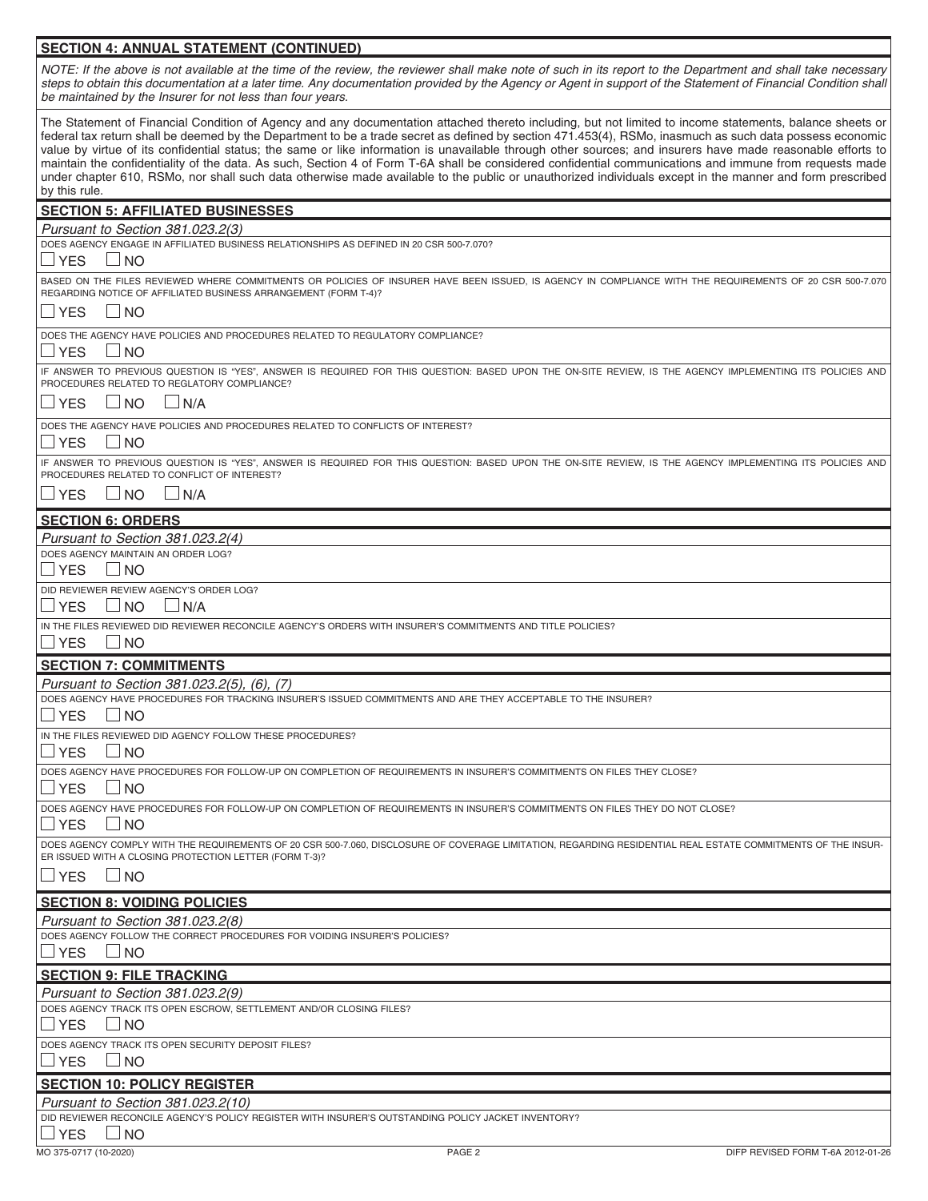## **SECTION 4: ANNUAL STATEMENT (CONTINUED)**

*NOTE: If the above is not available at the time of the review, the reviewer shall make note of such in its report to the Department and shall take necessary*  steps to obtain this documentation at a later time. Any documentation provided by the Agency or Agent in support of the Statement of Financial Condition shall *be maintained by the Insurer for not less than four years.*

The Statement of Financial Condition of Agency and any documentation attached thereto including, but not limited to income statements, balance sheets or federal tax return shall be deemed by the Department to be a trade secret as defined by section 471.453(4), RSMo, inasmuch as such data possess economic value by virtue of its confidential status; the same or like information is unavailable through other sources; and insurers have made reasonable efforts to maintain the confidentiality of the data. As such, Section 4 of Form T-6A shall be considered confidential communications and immune from requests made under chapter 610, RSMo, nor shall such data otherwise made available to the public or unauthorized individuals except in the manner and form prescribed by this rule.

| <b>SECTION 5: AFFILIATED BUSINESSES</b>                                                                                                                                                                  |
|----------------------------------------------------------------------------------------------------------------------------------------------------------------------------------------------------------|
| Pursuant to Section 381.023.2(3)                                                                                                                                                                         |
| DOES AGENCY ENGAGE IN AFFILIATED BUSINESS RELATIONSHIPS AS DEFINED IN 20 CSR 500-7.070?                                                                                                                  |
| <b>YES</b><br>$\Box$ No                                                                                                                                                                                  |
| BASED ON THE FILES REVIEWED WHERE COMMITMENTS OR POLICIES OF INSURER HAVE BEEN ISSUED, IS AGENCY IN COMPLIANCE WITH THE REQUIREMENTS OF 20 CSR 500-7.070                                                 |
| REGARDING NOTICE OF AFFILIATED BUSINESS ARRANGEMENT (FORM T-4)?                                                                                                                                          |
| $\Box$ NO<br>⊿ YES                                                                                                                                                                                       |
|                                                                                                                                                                                                          |
| DOES THE AGENCY HAVE POLICIES AND PROCEDURES RELATED TO REGULATORY COMPLIANCE?                                                                                                                           |
| <b>YES</b><br>$\Box$ No                                                                                                                                                                                  |
| IF ANSWER TO PREVIOUS QUESTION IS "YES", ANSWER IS REQUIRED FOR THIS QUESTION: BASED UPON THE ON-SITE REVIEW, IS THE AGENCY IMPLEMENTING ITS POLICIES AND<br>PROCEDURES RELATED TO REGLATORY COMPLIANCE? |
|                                                                                                                                                                                                          |
| $\Box$ NO<br>$\Box$ N/A<br><b>SYES</b>                                                                                                                                                                   |
| DOES THE AGENCY HAVE POLICIES AND PROCEDURES RELATED TO CONFLICTS OF INTEREST?                                                                                                                           |
| <b>YES</b><br>$\Box$ No                                                                                                                                                                                  |
| IF ANSWER TO PREVIOUS QUESTION IS "YES", ANSWER IS REQUIRED FOR THIS QUESTION: BASED UPON THE ON-SITE REVIEW, IS THE AGENCY IMPLEMENTING ITS POLICIES AND                                                |
| PROCEDURES RELATED TO CONFLICT OF INTEREST?                                                                                                                                                              |
| $\Box$ N/A<br>$\sqcup$ YES<br>$\Box$ NO                                                                                                                                                                  |
|                                                                                                                                                                                                          |
| <b>SECTION 6: ORDERS</b>                                                                                                                                                                                 |
| Pursuant to Section 381.023.2(4)                                                                                                                                                                         |
| DOES AGENCY MAINTAIN AN ORDER LOG?                                                                                                                                                                       |
| <b>YES</b><br>$\Box$ No                                                                                                                                                                                  |
| DID REVIEWER REVIEW AGENCY'S ORDER LOG?                                                                                                                                                                  |
| <b>YES</b><br>$\Box$ NO<br>$\Box$ N/A                                                                                                                                                                    |
| IN THE FILES REVIEWED DID REVIEWER RECONCILE AGENCY'S ORDERS WITH INSURER'S COMMITMENTS AND TITLE POLICIES?                                                                                              |
| <b>YES</b><br>$\Box$ No                                                                                                                                                                                  |
| <b>SECTION 7: COMMITMENTS</b>                                                                                                                                                                            |
|                                                                                                                                                                                                          |
| Pursuant to Section 381.023.2(5), (6), (7)<br>DOES AGENCY HAVE PROCEDURES FOR TRACKING INSURER'S ISSUED COMMITMENTS AND ARE THEY ACCEPTABLE TO THE INSURER?                                              |
| <b>YES</b><br>$\Box$ No                                                                                                                                                                                  |
|                                                                                                                                                                                                          |
| IN THE FILES REVIEWED DID AGENCY FOLLOW THESE PROCEDURES?                                                                                                                                                |
| <b>YES</b><br>$\Box$ No                                                                                                                                                                                  |
| DOES AGENCY HAVE PROCEDURES FOR FOLLOW-UP ON COMPLETION OF REQUIREMENTS IN INSURER'S COMMITMENTS ON FILES THEY CLOSE?                                                                                    |
| <b>YES</b><br>$\Box$ NO                                                                                                                                                                                  |
| DOES AGENCY HAVE PROCEDURES FOR FOLLOW-UP ON COMPLETION OF REQUIREMENTS IN INSURER'S COMMITMENTS ON FILES THEY DO NOT CLOSE?                                                                             |
| <b>YES</b><br>$\Box$ No                                                                                                                                                                                  |
| DOES AGENCY COMPLY WITH THE REQUIREMENTS OF 20 CSR 500-7.060, DISCLOSURE OF COVERAGE LIMITATION, REGARDING RESIDENTIAL REAL ESTATE COMMITMENTS OF THE INSUR-                                             |
| ER ISSUED WITH A CLOSING PROTECTION LETTER (FORM T-3)?                                                                                                                                                   |
| $\sqcup$ YES<br>⊿ NO                                                                                                                                                                                     |
|                                                                                                                                                                                                          |
| <b>SECTION 8: VOIDING POLICIES</b>                                                                                                                                                                       |
| Pursuant to Section 381,023,2(8)                                                                                                                                                                         |
| DOES AGENCY FOLLOW THE CORRECT PROCEDURES FOR VOIDING INSURER'S POLICIES?                                                                                                                                |
| <b>YES</b><br>$\Box$ NO                                                                                                                                                                                  |
| <b>SECTION 9: FILE TRACKING</b>                                                                                                                                                                          |
| Pursuant to Section 381.023.2(9)                                                                                                                                                                         |
| DOES AGENCY TRACK ITS OPEN ESCROW, SETTLEMENT AND/OR CLOSING FILES?                                                                                                                                      |
| <b>YES</b><br>$\Box$ No                                                                                                                                                                                  |
| DOES AGENCY TRACK ITS OPEN SECURITY DEPOSIT FILES?                                                                                                                                                       |
| $\sqcup$ YES<br>$\Box$ No                                                                                                                                                                                |
|                                                                                                                                                                                                          |
| <b>SECTION 10: POLICY REGISTER</b>                                                                                                                                                                       |
| Pursuant to Section 381.023.2(10)                                                                                                                                                                        |
| DID REVIEWER RECONCILE AGENCY'S POLICY REGISTER WITH INSURER'S OUTSTANDING POLICY JACKET INVENTORY?                                                                                                      |
| <b>YES</b><br>$\Box$ No                                                                                                                                                                                  |
| MO 375-0717 (10-2020)<br>PAGE <sub>2</sub><br>DIFP REVISED FORM T-6A 2012-01-26                                                                                                                          |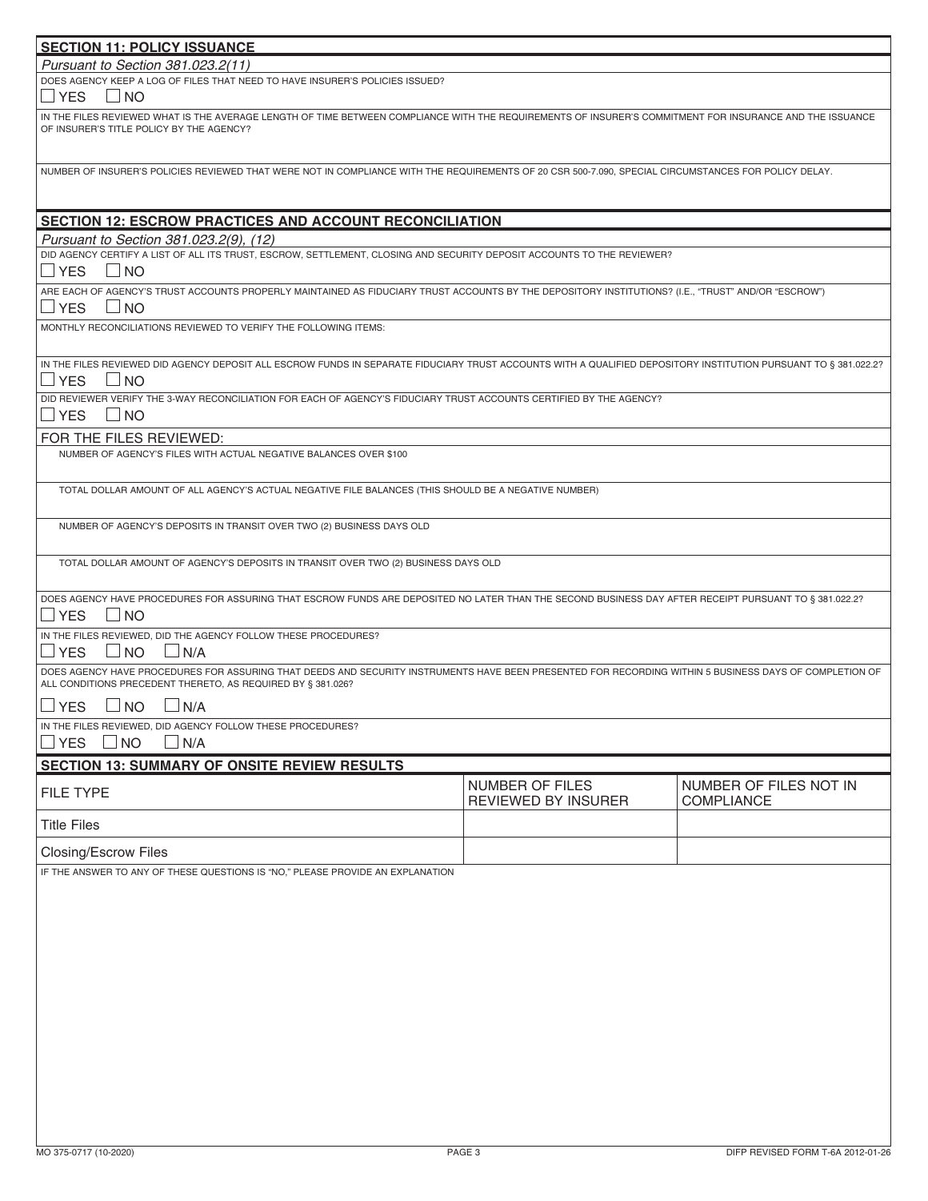| <b>SECTION 11: POLICY ISSUANCE</b>                                                                                                                                                                                    |                                        |                                      |  |  |
|-----------------------------------------------------------------------------------------------------------------------------------------------------------------------------------------------------------------------|----------------------------------------|--------------------------------------|--|--|
| Pursuant to Section 381.023.2(11)                                                                                                                                                                                     |                                        |                                      |  |  |
| DOES AGENCY KEEP A LOG OF FILES THAT NEED TO HAVE INSURER'S POLICIES ISSUED?<br>$\Box$ YES<br>⊿ NO                                                                                                                    |                                        |                                      |  |  |
| IN THE FILES REVIEWED WHAT IS THE AVERAGE LENGTH OF TIME BETWEEN COMPLIANCE WITH THE REQUIREMENTS OF INSURER'S COMMITMENT FOR INSURANCE AND THE ISSUANCE<br>OF INSURER'S TITLE POLICY BY THE AGENCY?                  |                                        |                                      |  |  |
| NUMBER OF INSURER'S POLICIES REVIEWED THAT WERE NOT IN COMPLIANCE WITH THE REQUIREMENTS OF 20 CSR 500-7.090, SPECIAL CIRCUMSTANCES FOR POLICY DELAY.                                                                  |                                        |                                      |  |  |
| <b>SECTION 12: ESCROW PRACTICES AND ACCOUNT RECONCILIATION</b>                                                                                                                                                        |                                        |                                      |  |  |
| Pursuant to Section 381.023.2(9), (12)                                                                                                                                                                                |                                        |                                      |  |  |
| DID AGENCY CERTIFY A LIST OF ALL ITS TRUST, ESCROW, SETTLEMENT, CLOSING AND SECURITY DEPOSIT ACCOUNTS TO THE REVIEWER?<br>$\Box$ YES<br>$\Box$ NO                                                                     |                                        |                                      |  |  |
| ARE EACH OF AGENCY'S TRUST ACCOUNTS PROPERLY MAINTAINED AS FIDUCIARY TRUST ACCOUNTS BY THE DEPOSITORY INSTITUTIONS? (I.E., "TRUST" AND/OR "ESCROW")<br>$\Box$ YES<br>$\Box$ NO                                        |                                        |                                      |  |  |
| MONTHLY RECONCILIATIONS REVIEWED TO VERIFY THE FOLLOWING ITEMS:                                                                                                                                                       |                                        |                                      |  |  |
| IN THE FILES REVIEWED DID AGENCY DEPOSIT ALL ESCROW FUNDS IN SEPARATE FIDUCIARY TRUST ACCOUNTS WITH A QUALIFIED DEPOSITORY INSTITUTION PURSUANT TO § 381.022.2?<br>$\Box$ YES<br>$\Box$ NO                            |                                        |                                      |  |  |
| DID REVIEWER VERIFY THE 3-WAY RECONCILIATION FOR EACH OF AGENCY'S FIDUCIARY TRUST ACCOUNTS CERTIFIED BY THE AGENCY?<br>$\Box$ YES<br>$\Box$ NO                                                                        |                                        |                                      |  |  |
| FOR THE FILES REVIEWED:<br>NUMBER OF AGENCY'S FILES WITH ACTUAL NEGATIVE BALANCES OVER \$100                                                                                                                          |                                        |                                      |  |  |
| TOTAL DOLLAR AMOUNT OF ALL AGENCY'S ACTUAL NEGATIVE FILE BALANCES (THIS SHOULD BE A NEGATIVE NUMBER)                                                                                                                  |                                        |                                      |  |  |
| NUMBER OF AGENCY'S DEPOSITS IN TRANSIT OVER TWO (2) BUSINESS DAYS OLD                                                                                                                                                 |                                        |                                      |  |  |
| TOTAL DOLLAR AMOUNT OF AGENCY'S DEPOSITS IN TRANSIT OVER TWO (2) BUSINESS DAYS OLD                                                                                                                                    |                                        |                                      |  |  |
| DOES AGENCY HAVE PROCEDURES FOR ASSURING THAT ESCROW FUNDS ARE DEPOSITED NO LATER THAN THE SECOND BUSINESS DAY AFTER RECEIPT PURSUANT TO § 381.022.2?<br>$\Box$ YES<br>$\Box$ NO                                      |                                        |                                      |  |  |
| IN THE FILES REVIEWED, DID THE AGENCY FOLLOW THESE PROCEDURES?<br>$\Box$ YES<br>$\Box$ N/A<br>$\sqcup$ NO                                                                                                             |                                        |                                      |  |  |
| DOES AGENCY HAVE PROCEDURES FOR ASSURING THAT DEEDS AND SECURITY INSTRUMENTS HAVE BEEN PRESENTED FOR RECORDING WITHIN 5 BUSINESS DAYS OF COMPLETION OF<br>ALL CONDITIONS PRECEDENT THERETO, AS REQUIRED BY § 381.026? |                                        |                                      |  |  |
| $\Box$ YES<br>$\Box$ NO<br>$\Box$ N/A                                                                                                                                                                                 |                                        |                                      |  |  |
| IN THE FILES REVIEWED, DID AGENCY FOLLOW THESE PROCEDURES?<br>$\Box$ YES<br>$\Box$ N/A<br><b>NO</b>                                                                                                                   |                                        |                                      |  |  |
| <b>SECTION 13: SUMMARY OF ONSITE REVIEW RESULTS</b>                                                                                                                                                                   |                                        |                                      |  |  |
| FILE TYPE                                                                                                                                                                                                             | NUMBER OF FILES<br>REVIEWED BY INSURER | NUMBER OF FILES NOT IN<br>COMPLIANCE |  |  |
| <b>Title Files</b>                                                                                                                                                                                                    |                                        |                                      |  |  |
| Closing/Escrow Files                                                                                                                                                                                                  |                                        |                                      |  |  |
| IF THE ANSWER TO ANY OF THESE QUESTIONS IS "NO," PLEASE PROVIDE AN EXPLANATION                                                                                                                                        |                                        |                                      |  |  |
|                                                                                                                                                                                                                       |                                        |                                      |  |  |
|                                                                                                                                                                                                                       |                                        |                                      |  |  |
|                                                                                                                                                                                                                       |                                        |                                      |  |  |
|                                                                                                                                                                                                                       |                                        |                                      |  |  |
|                                                                                                                                                                                                                       |                                        |                                      |  |  |
|                                                                                                                                                                                                                       |                                        |                                      |  |  |
|                                                                                                                                                                                                                       |                                        |                                      |  |  |